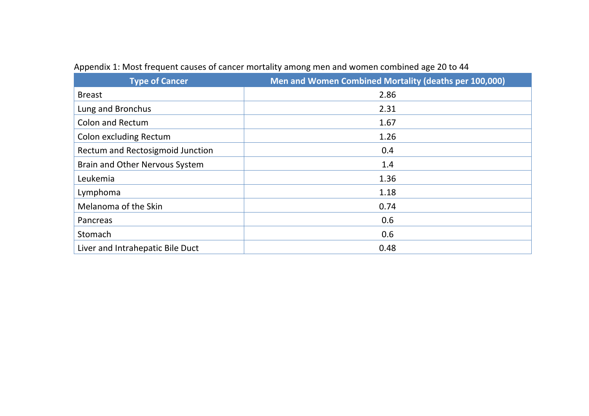| <b>Type of Cancer</b>            | Men and Women Combined Mortality (deaths per 100,000) |
|----------------------------------|-------------------------------------------------------|
| <b>Breast</b>                    | 2.86                                                  |
| Lung and Bronchus                | 2.31                                                  |
| <b>Colon and Rectum</b>          | 1.67                                                  |
| <b>Colon excluding Rectum</b>    | 1.26                                                  |
| Rectum and Rectosigmoid Junction | 0.4                                                   |
| Brain and Other Nervous System   | 1.4                                                   |
| Leukemia                         | 1.36                                                  |
| Lymphoma                         | 1.18                                                  |
| Melanoma of the Skin             | 0.74                                                  |
| Pancreas                         | 0.6                                                   |
| Stomach                          | 0.6                                                   |
| Liver and Intrahepatic Bile Duct | 0.48                                                  |

## Appendix 1: Most frequent causes of cancer mortality among men and women combined age 20 to 44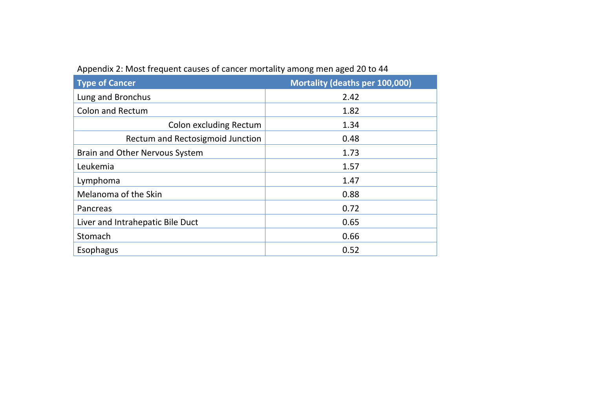| <b>Type of Cancer</b>                 | Mortality (deaths per 100,000) |
|---------------------------------------|--------------------------------|
| Lung and Bronchus                     | 2.42                           |
| <b>Colon and Rectum</b>               | 1.82                           |
| <b>Colon excluding Rectum</b>         | 1.34                           |
| Rectum and Rectosigmoid Junction      | 0.48                           |
| <b>Brain and Other Nervous System</b> | 1.73                           |
| Leukemia                              | 1.57                           |
| Lymphoma                              | 1.47                           |
| Melanoma of the Skin                  | 0.88                           |
| Pancreas                              | 0.72                           |
| Liver and Intrahepatic Bile Duct      | 0.65                           |
| Stomach                               | 0.66                           |
| Esophagus                             | 0.52                           |

Appendix 2: Most frequent causes of cancer mortality among men aged 20 to 44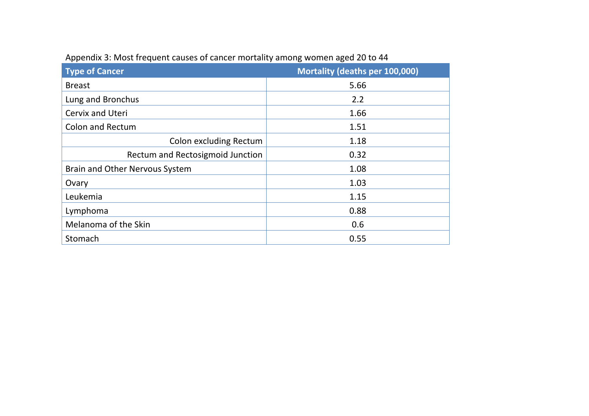| <b>Type of Cancer</b>            | Mortality (deaths per 100,000) |
|----------------------------------|--------------------------------|
| <b>Breast</b>                    | 5.66                           |
| Lung and Bronchus                | 2.2                            |
| <b>Cervix and Uteri</b>          | 1.66                           |
| <b>Colon and Rectum</b>          | 1.51                           |
| Colon excluding Rectum           | 1.18                           |
| Rectum and Rectosigmoid Junction | 0.32                           |
| Brain and Other Nervous System   | 1.08                           |
| Ovary                            | 1.03                           |
| Leukemia                         | 1.15                           |
| Lymphoma                         | 0.88                           |
| Melanoma of the Skin             | 0.6                            |
| Stomach                          | 0.55                           |

## Appendix 3: Most frequent causes of cancer mortality among women aged 20 to 44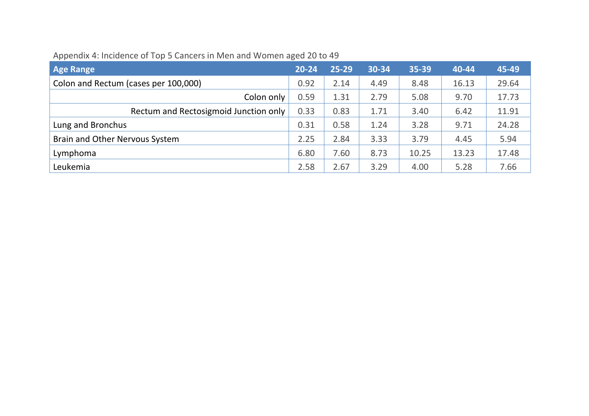| <b>Age Range</b>                      | $20 - 24$ | $25 - 29$ | 30-34 | 35-39 | 40-44 | 45-49 |
|---------------------------------------|-----------|-----------|-------|-------|-------|-------|
| Colon and Rectum (cases per 100,000)  | 0.92      | 2.14      | 4.49  | 8.48  | 16.13 | 29.64 |
| Colon only                            | 0.59      | 1.31      | 2.79  | 5.08  | 9.70  | 17.73 |
| Rectum and Rectosigmoid Junction only | 0.33      | 0.83      | 1.71  | 3.40  | 6.42  | 11.91 |
| Lung and Bronchus                     | 0.31      | 0.58      | 1.24  | 3.28  | 9.71  | 24.28 |
| Brain and Other Nervous System        | 2.25      | 2.84      | 3.33  | 3.79  | 4.45  | 5.94  |
| Lymphoma                              | 6.80      | 7.60      | 8.73  | 10.25 | 13.23 | 17.48 |
| Leukemia                              | 2.58      | 2.67      | 3.29  | 4.00  | 5.28  | 7.66  |

## Appendix 4: Incidence of Top 5 Cancers in Men and Women aged 20 to 49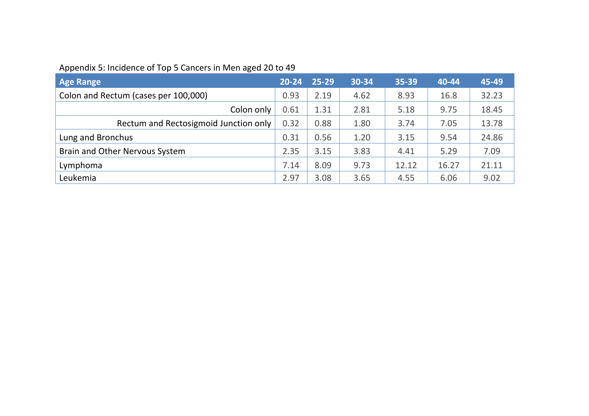# Appendix 5: Incidence of Top 5 Cancers in Men aged 20 to 49

| <b>Age Range</b>                      | $20 - 24$ | 25-29 | 30-34 | 35-39 | 40-44 | 45-49 |
|---------------------------------------|-----------|-------|-------|-------|-------|-------|
| Colon and Rectum (cases per 100,000)  | 0.93      | 2.19  | 4.62  | 8.93  | 16.8  | 32.23 |
| Colon only                            | 0.61      | 1.31  | 2.81  | 5.18  | 9.75  | 18.45 |
| Rectum and Rectosigmoid Junction only | 0.32      | 0.88  | 1.80  | 3.74  | 7.05  | 13.78 |
| Lung and Bronchus                     | 0.31      | 0.56  | 1.20  | 3.15  | 9.54  | 24.86 |
| Brain and Other Nervous System        | 2.35      | 3.15  | 3.83  | 4.41  | 5.29  | 7.09  |
| Lymphoma                              | 7.14      | 8.09  | 9.73  | 12.12 | 16.27 | 21.11 |
| Leukemia                              | 2.97      | 3.08  | 3.65  | 4.55  | 6.06  | 9.02  |